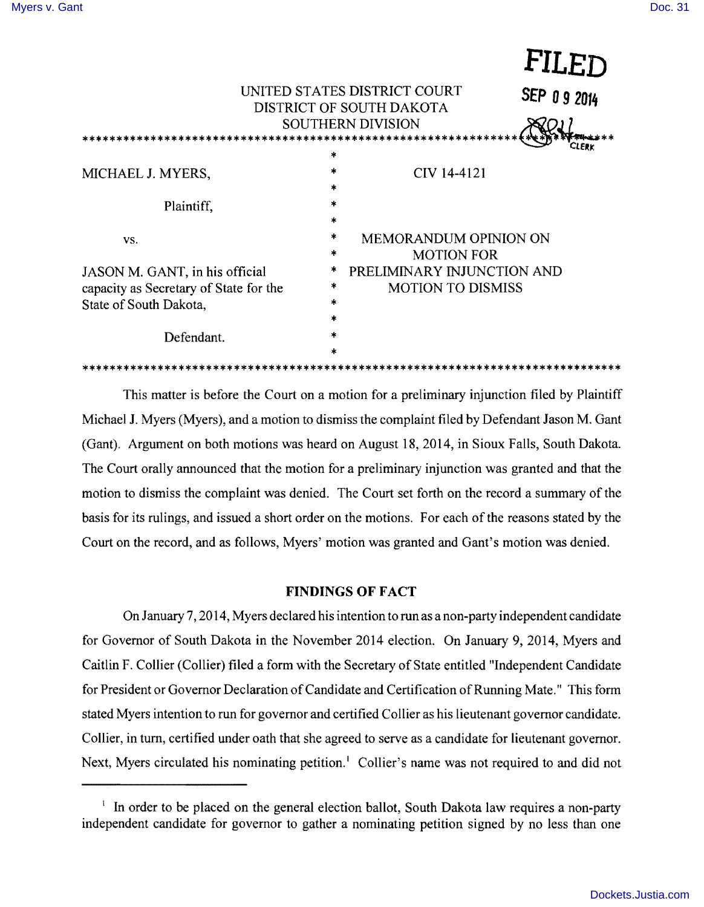**FILED** 

|                                                                            | <b>TITTT</b>                                                            |
|----------------------------------------------------------------------------|-------------------------------------------------------------------------|
|                                                                            | UNITED STATES DISTRICT COURT<br>SEP 09 2014<br>DISTRICT OF SOUTH DAKOTA |
| <b>SOUTHERN DIVISION</b>                                                   |                                                                         |
| $\ast$                                                                     |                                                                         |
| *<br>MICHAEL J. MYERS,<br>$\ast$                                           | CIV 14-4121                                                             |
| $\ast$<br>Plaintiff,<br>$\star$                                            |                                                                         |
| *<br>VS.<br>*                                                              | <b>MEMORANDUM OPINION ON</b>                                            |
| *<br>JASON M. GANT, in his official<br>$\ast$                              | <b>MOTION FOR</b><br>PRELIMINARY INJUNCTION AND                         |
| capacity as Secretary of State for the<br>$\ast$<br>State of South Dakota, | <b>MOTION TO DISMISS</b>                                                |
| $\ast$<br>*<br>Defendant.                                                  |                                                                         |
| $\frac{1}{2}$                                                              |                                                                         |

This matter is before the Court on a motion for a preliminary injunction filed by Plaintiff Michael 1. Myers (Myers), and a motion to dismiss the complaint filed by Defendant Jason M. Gant (Gant). Argument on both motions was heard on August 18,2014, in Sioux Falls, South Dakota. The Court orally announced that the motion for a preliminary injunction was granted and that the motion to dismiss the complaint was denied. The Court set forth on the record a summary of the basis for its rulings, and issued a short order on the motions. For each of the reasons stated by the Court on the record, and as follows, Myers' motion was granted and Gant's motion was denied.

# **FINDINGS OF FACT**

On January 7, 2014, Myers declared his intention to run as a non-party independent candidate for Governor of South Dakota in the November 2014 election. On January 9, 2014, Myers and Caitlin F. Collier (Collier) filed a form with the Secretary of State entitled "Independent Candidate" for President or Governor Declaration of Candidate and Certification of Running Mate." This form stated Myers intention to run for governor and certified Collier as his lieutenant governor candidate. Collier, in turn, certified under oath that she agreed to serve as a candidate for lieutenant governor. Next, Myers circulated his nominating petition.' Collier's name was not required to and did not

 $\frac{1}{2}$  In order to be placed on the general election ballot, South Dakota law requires a non-party independent candidate for governor to gather a nominating petition signed by no less than one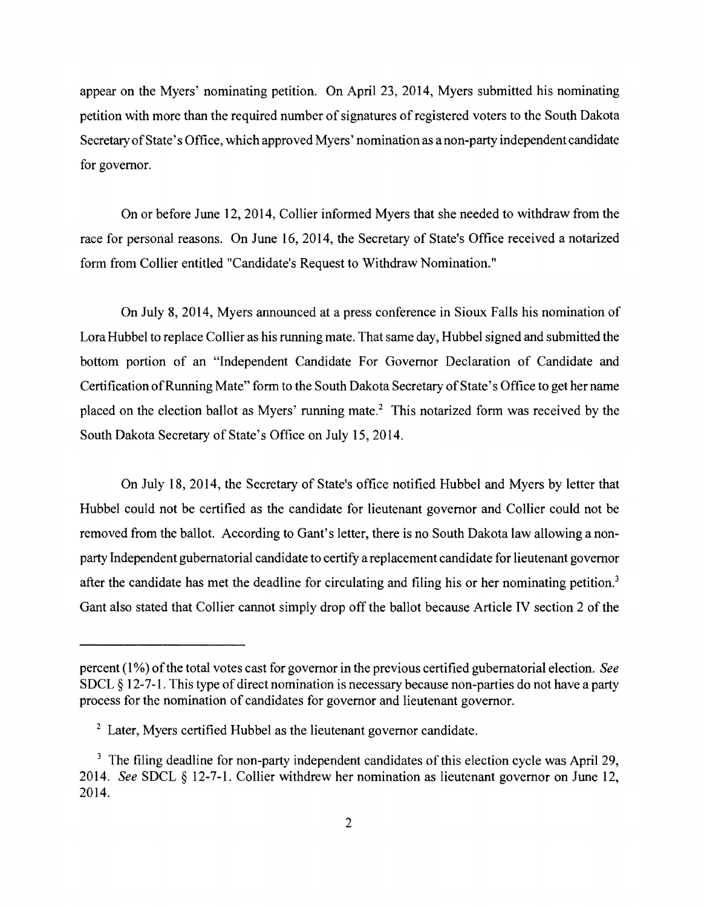appear on the Myers' nominating petition. On April 23, 2014, Myers submitted his nominating petition with more than the required number of signatures of registered voters to the South Dakota Secretary of State's Office, which approved Myers' nomination as a non-party independent candidate for governor.

On or before June 12,2014, Collier informed Myers that she needed to withdraw from the race for personal reasons. On June 16,2014, the Secretary of State's Office received a notarized form from Collier entitled "Candidate's Request to Withdraw Nomination."

On July 8, 2014, Myers announced at a press conference in Sioux Falls his nomination of Lora Hubbel to replace Collier as his running mate. That same day, Hubbel signed and submitted the bottom portion of an "Independent Candidate For Governor Declaration of Candidate and Certification of Running Mate" form to the South Dakota Secretary of State's Office to get her name placed on the election ballot as Myers' running mate.<sup>2</sup> This notarized form was received by the South Dakota Secretary of State's Office on July 15,2014.

On July 18, 2014, the Secretary of State's office notified Hubbel and Myers by letter that Hubbel could not be certified as the candidate for lieutenant governor and Collier could not be removed from the ballot. According to Gant's letter, there is no South Dakota law allowing a nonparty Independent gubernatorial candidate to certify a replacement candidate for lieutenant governor after the candidate has met the deadline for circulating and filing his or her nominating petition.<sup>3</sup> Gant also stated that Collier cannot simply drop off the ballot because Article IV section 2 of the

percent (1%) of the total votes cast for governor in the previous certified gubernatorial election. See SDCL  $\S 12-7-1$ . This type of direct nomination is necessary because non-parties do not have a party process for the nomination of candidates for governor and lieutenant governor.

<sup>&</sup>lt;sup>2</sup> Later, Myers certified Hubbel as the lieutenant governor candidate.

<sup>&</sup>lt;sup>3</sup> The filing deadline for non-party independent candidates of this election cycle was April 29, *2014. See* SDCL § 1271. Collier withdrew her nomination as lieutenant governor on June 12, 2014.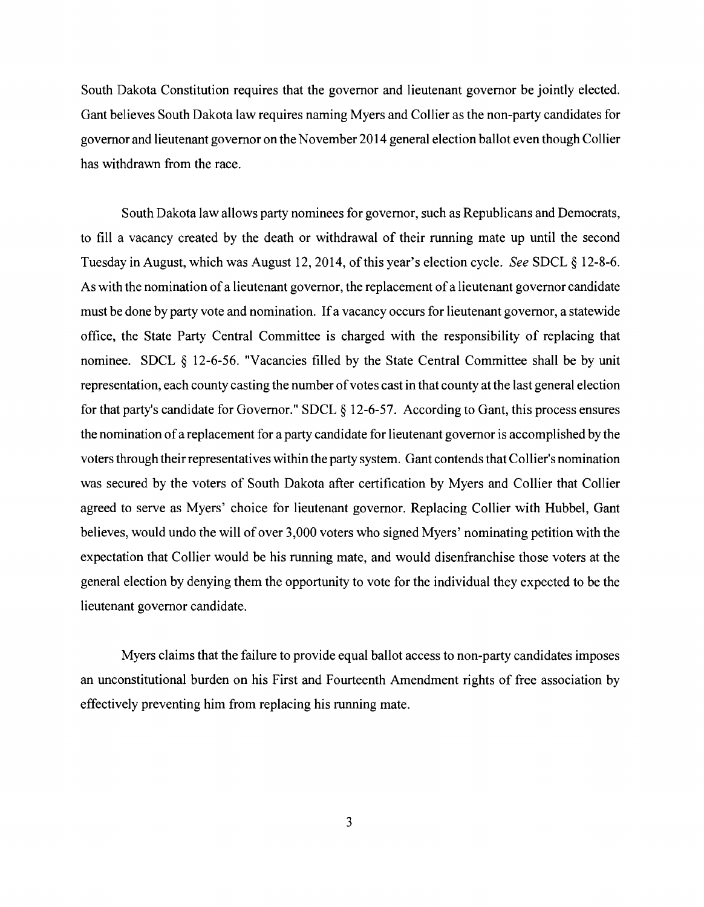South Dakota Constitution requires that the governor and lieutenant governor be jointly elected. Gant believes South Dakota law requires naming Myers and Collier as the non-party candidates for governor and lieutenant governor on the November 2014 general election ballot even though Collier has withdrawn from the race.

South Dakota law allows party nominees for governor, such as Republicans and Democrats, to fill a vacancy created by the death or withdrawal of their running mate up until the second Tuesday in August, which was August 12, 2014, of this year's election cycle. See SDCL § 12-8-6. As with the nomination of a lieutenant governor, the replacement of a lieutenant governor candidate must be done by party vote and nomination. Ifa vacancy occurs for lieutenant governor, a statewide office, the State Party Central Committee is charged with the responsibility of replacing that nominee. SDCL § 12-6-56. "Vacancies filled by the State Central Committee shall be by unit representation, each county casting the number of votes cast in that county at the last general election for that party's candidate for Governor." SDCL  $\S$  12-6-57. According to Gant, this process ensures the nomination ofa replacement for a party candidate for lieutenant governor is accomplished by the voters through their representatives within the party system. Gant contends that Collier's nomination was secured by the voters of South Dakota after certification by Myers and Collier that Collier agreed to serve as Myers' choice for lieutenant governor. Replacing Collier with Hubbel, Gant believes, would undo the will of over 3,000 voters who signed Myers' nominating petition with the expectation that Collier would be his running mate, and would disenfranchise those voters at the general election by denying them the opportunity to vote for the individual they expected to be the lieutenant governor candidate.

Myers claims that the failure to provide equal ballot access to non-party candidates imposes an unconstitutional burden on his First and Fourteenth Amendment rights of free association by effectively preventing him from replacing his running mate.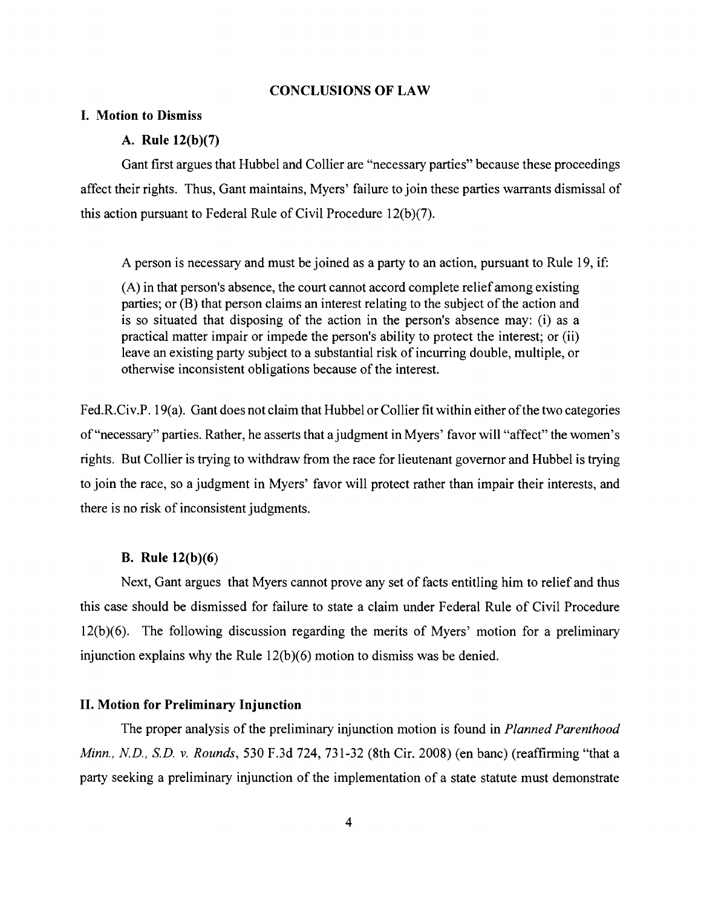## CONCLUSIONS OF LAW

## I. Motion to Dismiss

# A. Rule 12(b)(7)

Gant first argues that Hubbel and Collier are "necessary parties" because these proceedings affect their rights. Thus, Gant maintains, Myers' failure to join these parties warrants dismissal of this action pursuant to Federal Rule of Civil Procedure 12(b)(7).

A person is necessary and must be joined as a party to an action, pursuant to Rule 19, if:

(A) in that person's absence, the court cannot accord complete relief among existing parties; or (B) that person claims an interest relating to the subject of the action and is so situated that disposing of the action in the person's absence may: (i) as a practical matter impair or impede the person's ability to protect the interest; or (ii) leave an existing party subject to a substantial risk of incurring double, multiple, or otherwise inconsistent obligations because of the interest.

Fed.R.Civ.P. 19(a). Gant does not claim that Hubbel or Collier fit within either of the two categories of "necessary" parties. Rather, he asserts that ajudgment in Myers' favor will "affect" the women's rights. But Collier is trying to withdraw from the race for lieutenant governor and Hubbel is trying to join the race, so a judgment in Myers' favor will protect rather than impair their interests, and there is no risk of inconsistent judgments.

## B. Rule 12(b)(6)

Next, Gant argues that Myers cannot prove any set of facts entitling him to relief and thus this case should be dismissed for failure to state a claim under Federal Rule of Civil Procedure 12(b)(6). The following discussion regarding the merits of Myers' motion for a preliminary injunction explains why the Rule 12(b)(6) motion to dismiss was be denied.

### II. Motion for Preliminary Injunction

The proper analysis of the preliminary injunction motion is found in *Planned Parenthood Minn., N.D., S.D. v. Rounds,* 530 F.3d 724, 731-32 (8th Cir. 2008) (en banc) (reaffirming "that a party seeking a preliminary injunction of the implementation of a state statute must demonstrate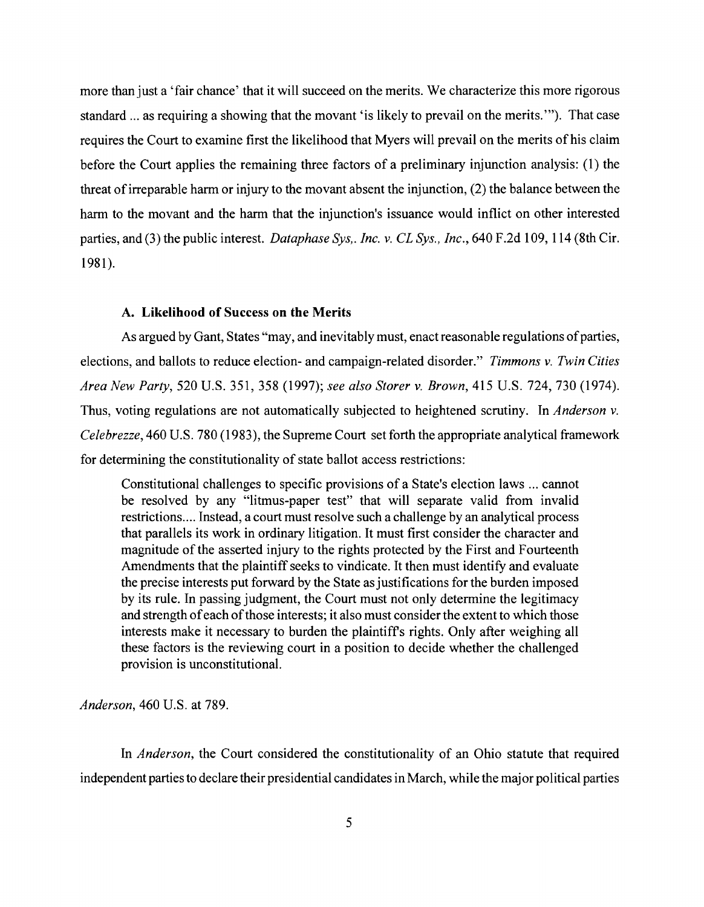more than just a 'fair chance' that it will succeed on the merits. We characterize this more rigorous standard ... as requiring a showing that the movant 'is likely to prevail on the merits. "'). That case requires the Court to examine first the likelihood that Myers will prevail on the merits of his claim before the Court applies the remaining three factors of a preliminary injunction analysis: (1) the threat of irreparable harm or injury to the movant absent the injunction,  $(2)$  the balance between the harm to the movant and the harm that the injunction's issuance would inflict on other interested parties, and (3) the public interest. *Dataphase Sys,. Inc. v. CL Sys., Inc.,* 640 F.2d 109, 114 (8th Cir. 1981).

#### A. Likelihood of Success on the Merits

As argued by Gant, States "may, and inevitably must, enact reasonable regulations of parties, elections, and ballots to reduce election- and campaign-related disorder." *Timmons v. Twin Cities Area New Party,* 520 U.S. 351, 358 (1997); *see also Storer v. Brown,* 415 U.S. 724,730 (1974). Thus, voting regulations are not automatically subjected to heightened scrutiny. In *Anderson v. Celebrezze,* 460 U.S. 780 (1983), the Supreme Court set forth the appropriate analytical framework for determining the constitutionality of state ballot access restrictions:

Constitutional challenges to specific provisions of a State's election laws ... cannot be resolved by any "litmus-paper test" that will separate valid from invalid restrictions.... Instead, a court must resolve such a challenge by an analytical process that parallels its work in ordinary litigation. It must first consider the character and magnitude of the asserted injury to the rights protected by the First and Fourteenth Amendments that the plaintiff seeks to vindicate. It then must identify and evaluate the precise interests put forward by the State as justifications for the burden imposed by its rule. In passing judgment, the Court must not only determine the legitimacy and strength of each of those interests; it also must consider the extent to which those interests make it necessary to burden the plaintiffs rights. Only after weighing all these factors is the reviewing court in a position to decide whether the challenged provision is unconstitutional.

*Anderson,* 460 U.S. at 789.

In *Anderson*, the Court considered the constitutionality of an Ohio statute that required independent parties to declare their presidential candidates in March, while the major political parties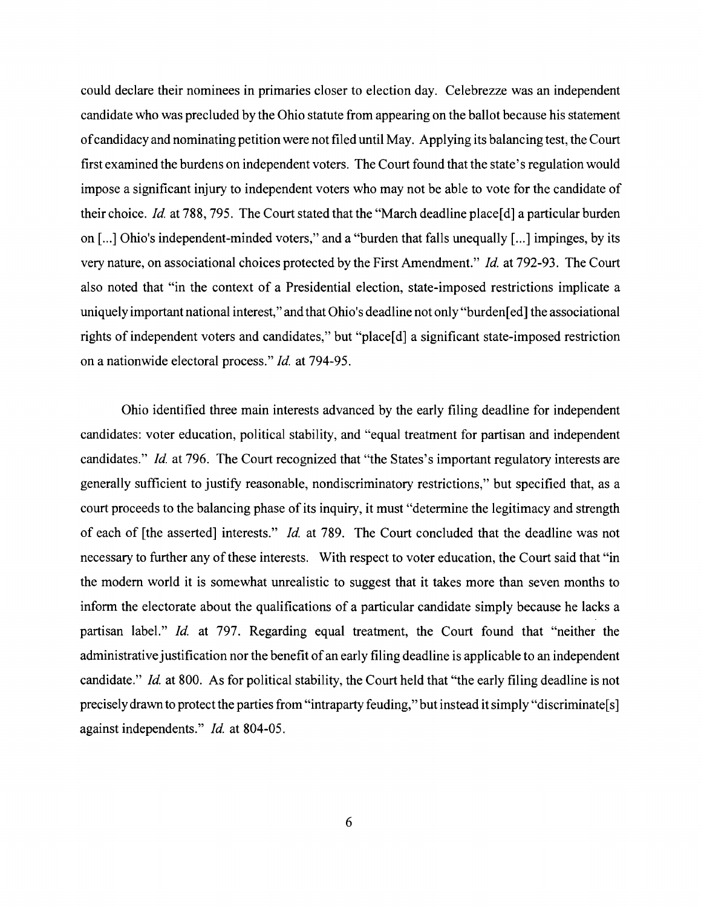could declare their nominees in primaries closer to election day. Celebrezze was an independent candidate who was precluded by the Ohio statute from appearing on the ballot because his statement ofcandidacy and nominating petition were not filed until May. Applying its balancing test, the Court first examined the burdens on independent voters. The Court found that the state's regulation would impose a significant injury to independent voters who may not be able to vote for the candidate of their choice. *Id.* at 788, 795. The Court stated that the "March deadline place<sup>[d]</sup> a particular burden on  $\lceil ... \rceil$  Ohio's independent-minded voters," and a "burden that falls unequally  $\lceil ... \rceil$  impinges, by its very nature, on associational choices protected by the First Amendment." *Id.* at 792-93. The Court also noted that "in the context of a Presidential election, state-imposed restrictions implicate a uniquely important national interest," and that Ohio's deadline not only "burden [ed] the associational rights of independent voters and candidates," but "place[d] a significant state-imposed restriction on a nationwide electoral process." *Id.* at 794-95.

Ohio identified three main interests advanced by the early filing deadline for independent candidates: voter education, political stability, and "equal treatment for partisan and independent candidates." *Id.* at 796. The Court recognized that "the States's important regulatory interests are generally sufficient to justify reasonable, nondiscriminatory restrictions," but specified that, as a court proceeds to the balancing phase of its inquiry, it must "determine the legitimacy and strength of each of [the asserted] interests." *Id.* at 789. The Court concluded that the deadline was not necessary to further any of these interests. With respect to voter education, the Court said that "in the modem world it is somewhat unrealistic to suggest that it takes more than seven months to inform the electorate about the qualifications of a particular candidate simply because he lacks a partisan label." *Id.* at 797. Regarding equal treatment, the Court found that "neither the administrative justification nor the benefit of an early filing deadline is applicable to an independent candidate." *Id.* at 800. As for political stability, the Court held that "the early filing deadline is not precisely drawn to protect the parties from "intraparty feuding," but instead it simply "discriminate [s] against independents." *Id.* at 804-05.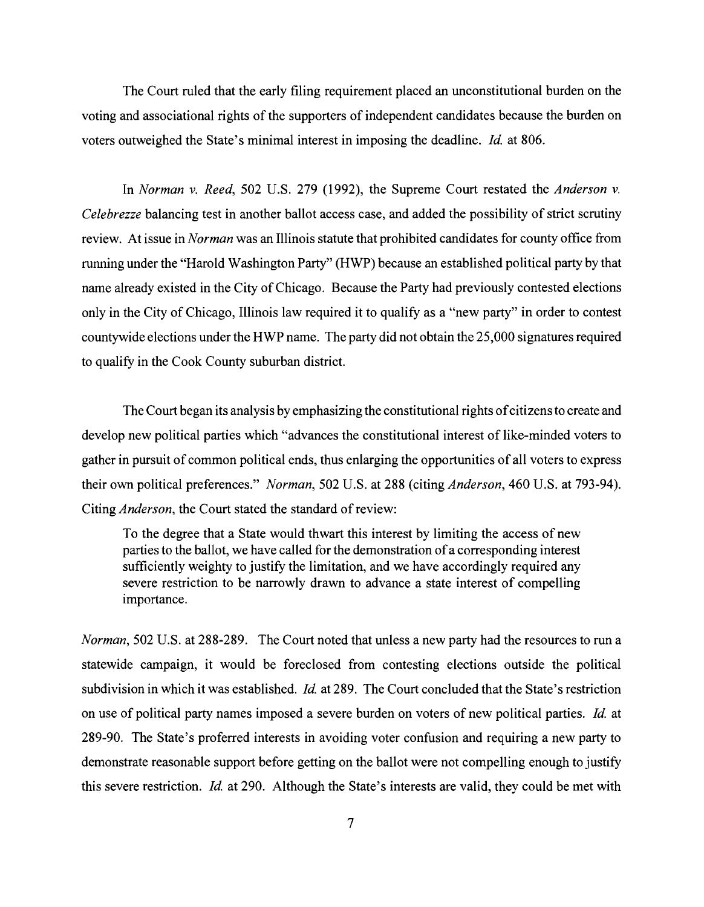The Court ruled that the early filing requirement placed an unconstitutional burden on the voting and associational rights of the supporters of independent candidates because the burden on voters outweighed the State's minimal interest in imposing the deadline. *Id.* at 806.

In *Norman* v. *Reed,* 502 U.S. 279 (1992), the Supreme Court restated the *Anderson* v. *Celebrezze* balancing test in another ballot access case, and added the possibility of strict scrutiny review. At issue in *Norman* was an Illinois statute that prohibited candidates for county office from running under the "Harold Washington Party" (HWP) because an established political party by that name already existed in the City of Chicago. Because the Party had previously contested elections only in the City of Chicago, Illinois law required it to qualify as a "new party" in order to contest countywide elections under the HWP name. The party did not obtain the 25,000 signatures required to qualify in the Cook County suburban district.

The Court began its analysis by emphasizing the constitutional rights of citizens to create and develop new political parties which "advances the constitutional interest of like-minded voters to gather in pursuit of common political ends, thus enlarging the opportunities of all voters to express their own political preferences." *Norman*, 502 U.S. at 288 (citing *Anderson*, 460 U.S. at 793-94). Citing *Anderson,* the Court stated the standard of review:

To the degree that a State would thwart this interest by limiting the access of new parties to the ballot, we have called for the demonstration of a corresponding interest sufficiently weighty to justify the limitation, and we have accordingly required any severe restriction to be narrowly drawn to advance a state interest of compelling importance.

*Norman*, 502 U.S. at 288-289. The Court noted that unless a new party had the resources to run a statewide campaign, it would be foreclosed from contesting elections outside the political subdivision in which it was established. *Id.* at 289. The Court concluded that the State's restriction on use of political party names imposed a severe burden on voters of new political parties. *Id.* at 289-90. The State's proferred interests in avoiding voter confusion and requiring a new party to demonstrate reasonable support before getting on the ballot were not compelling enough to justify this severe restriction. *Id.* at 290. Although the State's interests are valid, they could be met with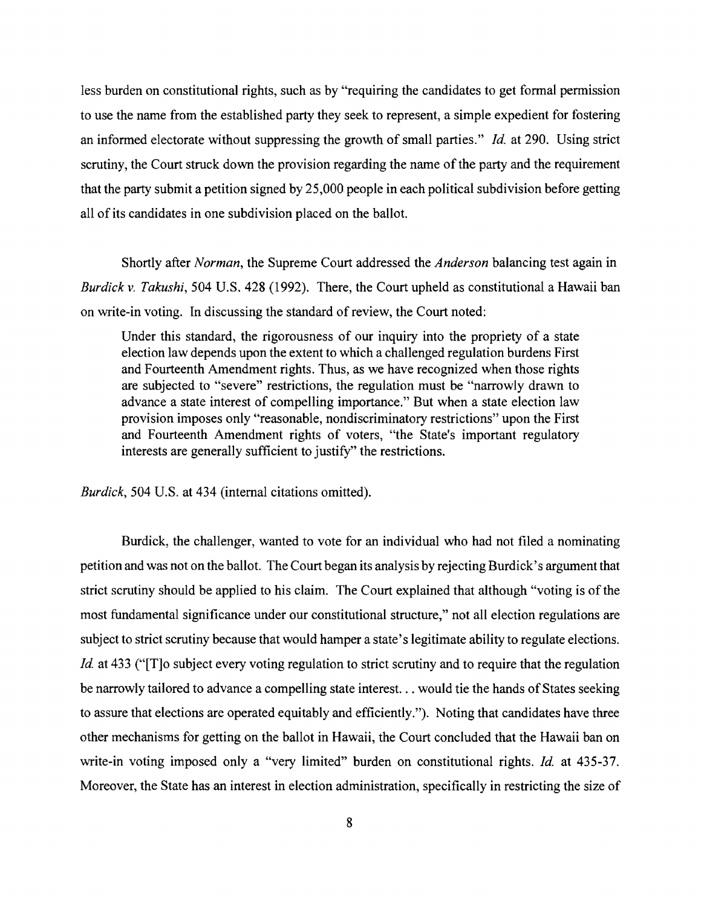less burden on constitutional rights, such as by "requiring the candidates to get formal permission to use the name from the established party they seek to represent, a simple expedient for fostering an informed electorate without suppressing the growth of small parties." *Id.* at 290. Using strict scrutiny, the Court struck down the provision regarding the name of the party and the requirement that the party submit a petition signed by 25,000 people in each political subdivision before getting all of its candidates in one subdivision placed on the ballot.

Shortly after *Norman,* the Supreme Court addressed the *Anderson* balancing test again in *Burdick v. Takushi,* 504 U.S. 428 (1992). There, the Court upheld as constitutional a Hawaii ban on write-in voting. In discussing the standard of review, the Court noted:

Under this standard, the rigorousness of our inquiry into the propriety of a state election law depends upon the extent to which a challenged regulation burdens First and Fourteenth Amendment rights. Thus, as we have recognized when those rights are subjected to "severe" restrictions, the regulation must be "narrowly drawn to advance a state interest of compelling importance." But when a state election law provision imposes only "reasonable, nondiscriminatory restrictions" upon the First and Fourteenth Amendment rights of voters, "the State's important regulatory interests are generally sufficient to justify" the restrictions.

*Burdick,* 504 U.S. at 434 (internal citations omitted).

Burdick, the challenger, wanted to vote for an individual who had not filed a nominating petition and was not on the ballot. The Court began its analysis by rejecting Burdick's argument that strict scrutiny should be applied to his claim. The Court explained that although "voting is of the most fundamental significance under our constitutional structure," not all election regulations are subject to strict scrutiny because that would hamper a state's legitimate ability to regulate elections. *Id.* at 433 ("[T]o subject every voting regulation to strict scrutiny and to require that the regulation be narrowly tailored to advance a compelling state interest. . . would tie the hands of States seeking to assure that elections are operated equitably and efficiently."). Noting that candidates have three other mechanisms for getting on the ballot in Hawaii, the Court concluded that the Hawaii ban on write-in voting imposed only a "very limited" burden on constitutional rights. *Id.* at 435-37. Moreover, the State has an interest in election administration, specifically in restricting the size of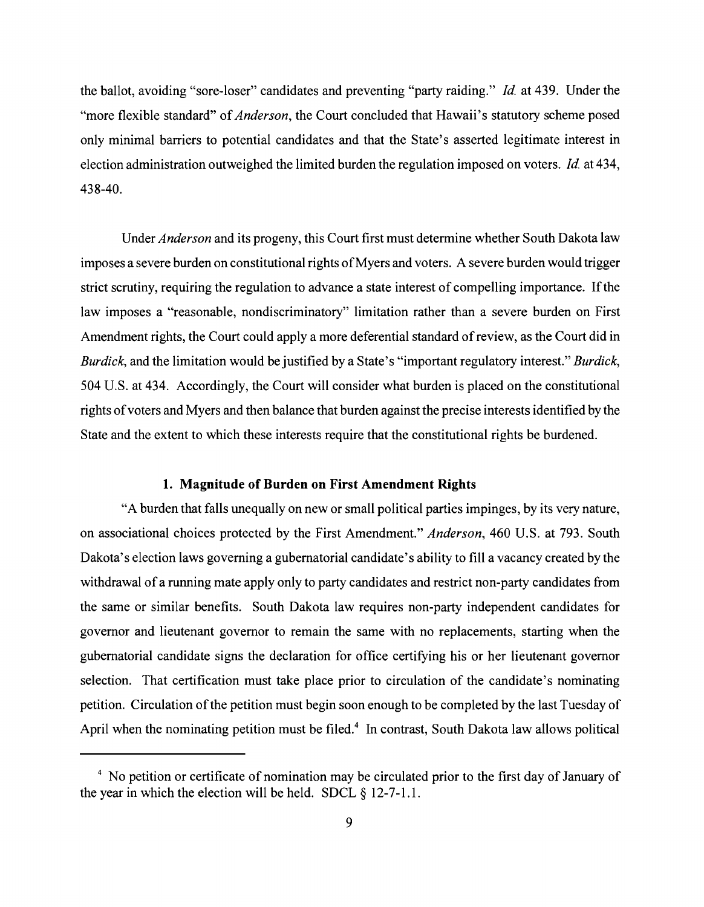the ballot, avoiding "sore-loser" candidates and preventing "party raiding." *Id.* at 439. Under the "more flexible standard" of*Anderson,* the Court concluded that Hawaii's statutory scheme posed only minimal barriers to potential candidates and that the State's asserted legitimate interest in election administration outweighed the limited burden the regulation imposed on voters. *Id.* at 434, 43840.

Under *Anderson* and its progeny, this Court first must determine whether South Dakota law imposes a severe burden on constitutional rights of Myers and voters. A severe burden would trigger strict scrutiny, requiring the regulation to advance a state interest of compelling importance. If the law imposes a "reasonable, nondiscriminatory" limitation rather than a severe burden on First Amendment rights, the Court could apply a more deferential standard of review, as the Court did in *Burdick,* and the limitation would be justified by a State's "important regulatory interest." *Burdick,*  504 U.S. at 434. Accordingly, the Court will consider what burden is placed on the constitutional rights of voters and Myers and then balance that burden against the precise interests identified by the State and the extent to which these interests require that the constitutional rights be burdened.

### **1. Magnitude of Burden on First Amendment Rights**

"A burden that falls unequally on new or small political parties impinges, by its very nature, on associational choices protected by the First Amendment." *Anderson,* 460 U.S. at 793. South Dakota's election laws governing a gubernatorial candidate's ability to fill a vacancy created by the withdrawal of a running mate apply only to party candidates and restrict non-party candidates from the same or similar benefits. South Dakota law requires non-party independent candidates for governor and lieutenant governor to remain the same with no replacements, starting when the gubernatorial candidate signs the declaration for office certifying his or her lieutenant governor selection. That certification must take place prior to circulation of the candidate's nominating petition. Circulation of the petition must begin soon enough to be completed by the last Tuesday of April when the nominating petition must be filed.<sup>4</sup> In contrast, South Dakota law allows political

<sup>&</sup>lt;sup>4</sup> No petition or certificate of nomination may be circulated prior to the first day of January of the year in which the election will be held. SDCL  $\S$  12-7-1.1.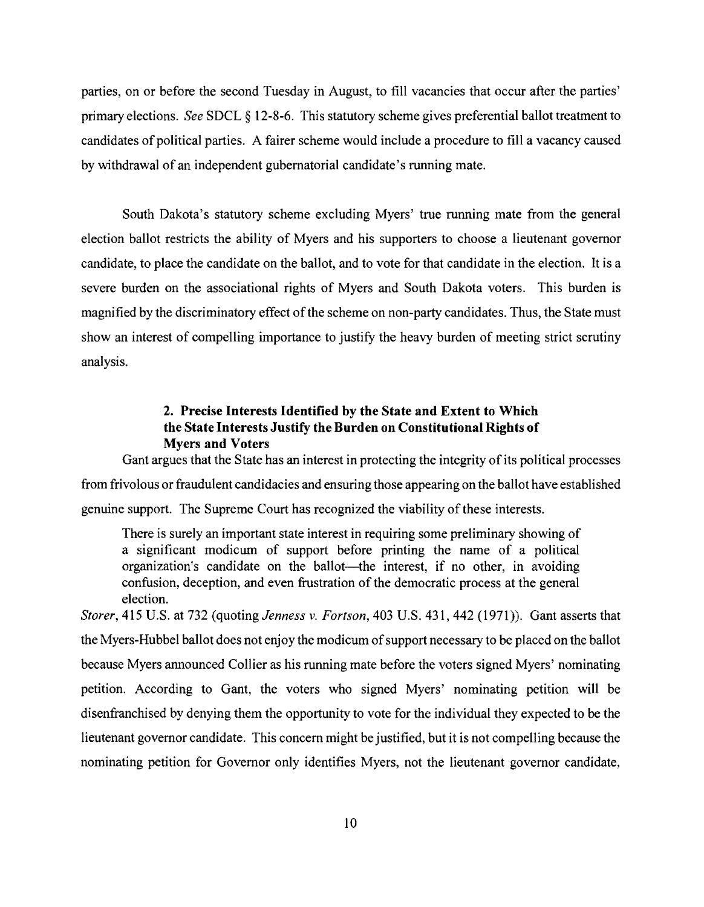parties, on or before the second Tuesday in August, to fill vacancies that occur after the parties' primary elections. See SDCL § 12-8-6. This statutory scheme gives preferential ballot treatment to candidates of political parties. A fairer scheme would include a procedure to fill a vacancy caused by withdrawal of an independent gubernatorial candidate's running mate.

South Dakota's statutory scheme excluding Myers' true running mate from the general election ballot restricts the ability of Myers and his supporters to choose a lieutenant governor candidate, to place the candidate on the ballot, and to vote for that candidate in the election. It is a severe burden on the associational rights of Myers and South Dakota voters. This burden is magnified by the discriminatory effect of the scheme on non-party candidates. Thus, the State must show an interest of compelling importance to justify the heavy burden of meeting strict scrutiny analysis.

# 2. Precise Interests Identified by the State and Extent to Which the State Interests Justify the Burden on Constitutional Rights of Myers and Voters

Gant argues that the State has an interest in protecting the integrity of its political processes from frivolous or fraudulent candidacies and ensuring those appearing on the ballot have established genuine support. The Supreme Court has recognized the viability of these interests.

There is surely an important state interest in requiring some preliminary showing of a significant modicum of support before printing the name of a political organization's candidate on the ballot-the interest, if no other, in avoiding confusion, deception, and even frustration of the democratic process at the general election.

*Storer,* 415 U.S. at 732 (quoting *Jenness v. Fortson,* 403 U.S. 431, 442 (1971». Gant asserts that the Myers-Hubbel ballot does not enjoy the modicum of support necessary to be placed on the ballot because Myers announced Collier as his running mate before the voters signed Myers' nominating petition. According to Gant, the voters who signed Myers' nominating petition will be disenfranchised by denying them the opportunity to vote for the individual they expected to be the lieutenant governor candidate. This concern might be justified, but it is not compelling because the nominating petition for Governor only identifies Myers, not the lieutenant governor candidate,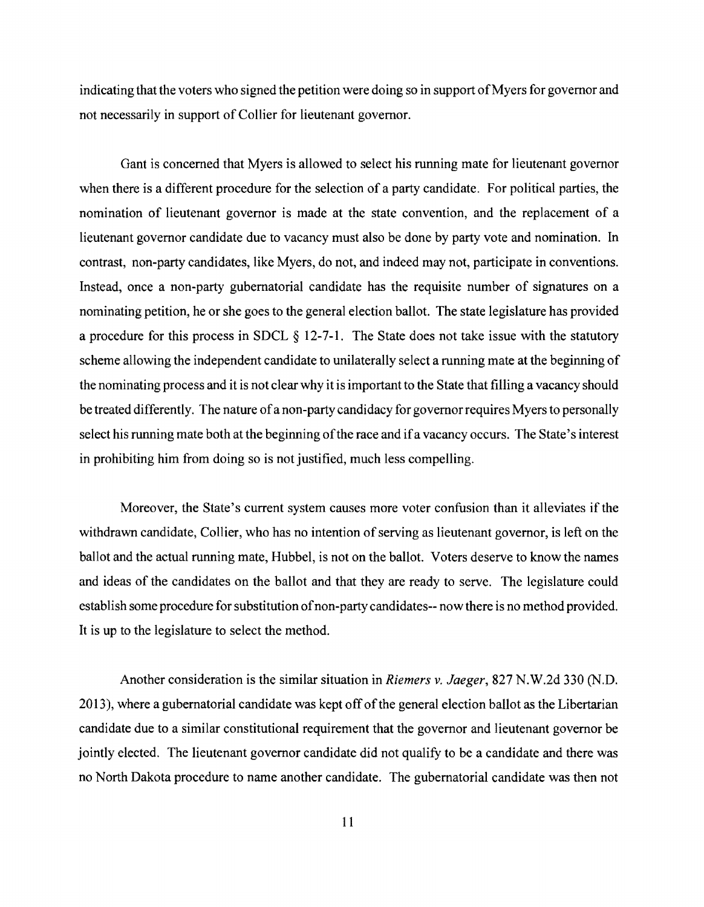indicating that the voters who signed the petition were doing so in support of Myers for governor and not necessarily in support of Collier for lieutenant governor.

Gant is concerned that Myers is allowed to select his running mate for lieutenant governor when there is a different procedure for the selection of a party candidate. For political parties, the nomination of lieutenant governor is made at the state convention, and the replacement of a lieutenant governor candidate due to vacancy must also be done by party vote and nomination. In contrast, non-party candidates, like Myers, do not, and indeed may not, participate in conventions. Instead, once a non-party gubernatorial candidate has the requisite number of signatures on a nominating petition, he or she goes to the general election ballot. The state legislature has provided a procedure for this process in SDCL  $\S$  12-7-1. The State does not take issue with the statutory scheme allowing the independent candidate to unilaterally select a running mate at the beginning of the nominating process and it is not clear why it is important to the State that filling a vacancy should be treated differently. The nature of a non-party candidacy for governor requires Myers to personally select his running mate both at the beginning of the race and if a vacancy occurs. The State's interest in prohibiting him from doing so is not justified, much less compelling.

Moreover, the State's current system causes more voter confusion than it alleviates if the withdrawn candidate, Collier, who has no intention of serving as lieutenant governor, is left on the ballot and the actual running mate, Hubbel, is not on the ballot. Voters deserve to know the names and ideas of the candidates on the ballot and that they are ready to serve. The legislature could establish some procedure for substitution of non-party candidates -- now there is no method provided. It is up to the legislature to select the method.

Another consideration is the similar situation in *Riemers v. Jaeger,* 827 N.W.2d 330 (N.D. 2013), where a gubernatorial candidate was kept off of the general election ballot as the Libertarian candidate due to a similar constitutional requirement that the governor and lieutenant governor be jointly elected. The lieutenant governor candidate did not qualify to be a candidate and there was no North Dakota procedure to name another candidate. The gubernatorial candidate was then not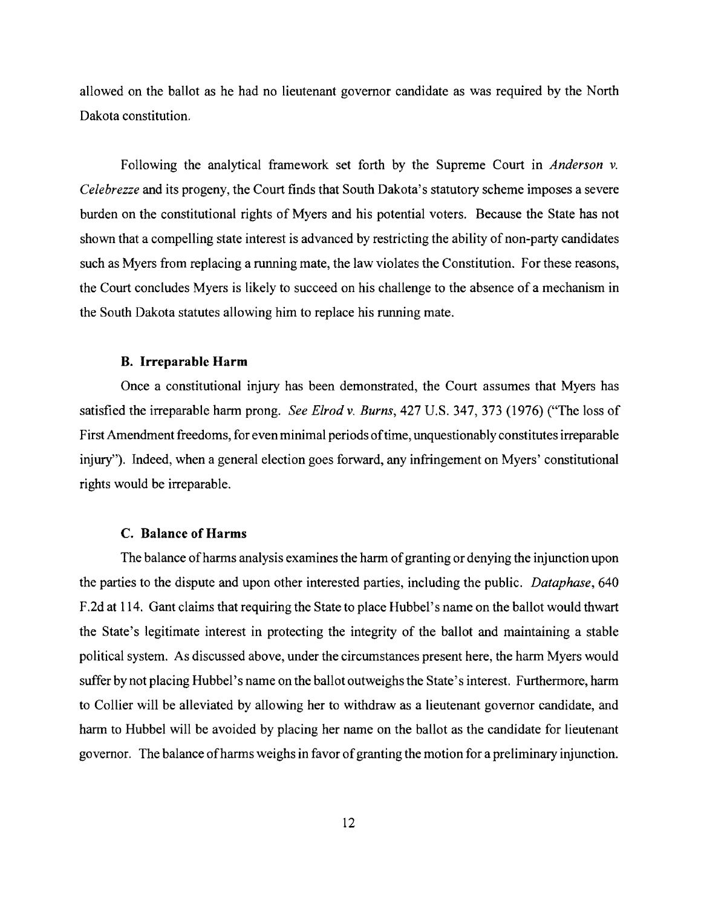allowed on the ballot as he had no lieutenant governor candidate as was required by the North Dakota constitution.

Following the analytical framework set forth by the Supreme Court in *Anderson* v. *Celebrezze* and its progeny, the Court finds that South Dakota's statutory scheme imposes a severe burden on the constitutional rights of Myers and his potential voters. Because the State has not shown that a compelling state interest is advanced by restricting the ability of non-party candidates such as Myers from replacing a running mate, the law violates the Constitution. For these reasons, the Court concludes Myers is likely to succeed on his challenge to the absence of a mechanism in the South Dakota statutes allowing him to replace his running mate.

### B. Irreparable Harm

Once a constitutional injury has been demonstrated, the Court assumes that Myers has satisfied the irreparable harm prong. *See Elrodv. Burns,* 427 U.S. 347, 373 (1976) ("The loss of First Amendment freedoms, for even minimal periods of time, unquestionably constitutes irreparable injury"). Indeed, when a general election goes forward, any infringement on Myers' constitutional rights would be irreparable.

#### C. Balance of Harms

The balance of harms analysis examines the harm of granting or denying the injunction upon the parties to the dispute and upon other interested parties, including the public. *Dataphase, 640*  F.2d at 114. Gant claims that requiring the State to place Hubbel's name on the ballot would thwart the State's legitimate interest in protecting the integrity of the ballot and maintaining a stable political system. As discussed above, under the circumstances present here, the harm Myers would suffer by not placing Hubbel's name on the ballot outweighs the State's interest. Furthermore, harm to Collier will be alleviated by allowing her to withdraw as a lieutenant governor candidate, and harm to Hubbel will be avoided by placing her name on the ballot as the candidate for lieutenant governor. The balance of harms weighs in favor of granting the motion for a preliminary injunction.